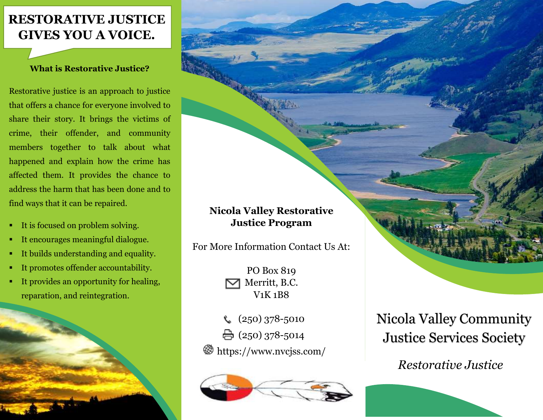# **RESTORATIVE JUSTICE GIVES YOU A VOICE.**

# **What is Restorative Justice?**

Restorative justice is an approach to justice that offers a chance for everyone involved to share their story. It brings the victims of crime, their offender, and community members together to talk about what happened and explain how the crime has affected them. It provides the chance to address the harm that has been done and to find ways that it can be repaired.

- It is focused on problem solving.
- It encourages meaningful dialogue.
- It builds understanding and equality.
- It promotes offender accountability.
- It provides an opportunity for healing, reparation, and reintegration.



# **Nicola Valley Restorative Justice Program**

For More Information Contact Us At:

PO Box 819 Merritt, B.C. V1K 1B8

(250) 378-5010  $\bigoplus$  (250) 378-5014 https://www.nvcjss.com/



Nicola Valley Community Justice Services Society

*Restorative Justice*